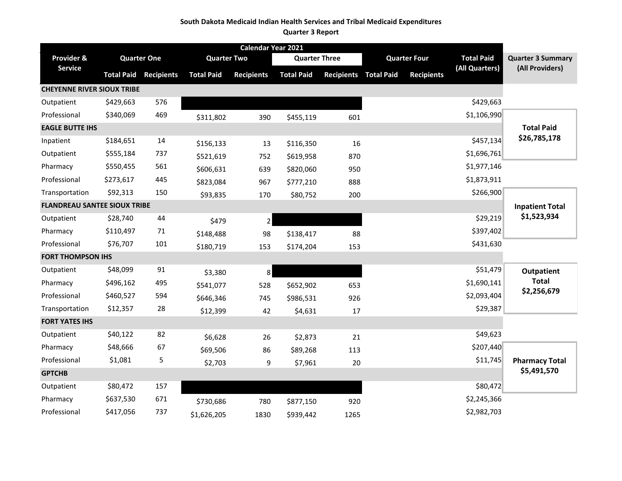#### **South Dakota Medicaid Indian Health Services and Tribal Medicaid Expenditures**

#### **Quarter 3 Report**

| Calendar Year 2021                  |                    |                   |                    |                   |                      |                       |                     |                   |                   |                          |
|-------------------------------------|--------------------|-------------------|--------------------|-------------------|----------------------|-----------------------|---------------------|-------------------|-------------------|--------------------------|
| Provider &                          | <b>Quarter One</b> |                   | <b>Quarter Two</b> |                   | <b>Quarter Three</b> |                       | <b>Quarter Four</b> |                   | <b>Total Paid</b> | <b>Quarter 3 Summary</b> |
| <b>Service</b>                      | <b>Total Paid</b>  | <b>Recipients</b> | <b>Total Paid</b>  | <b>Recipients</b> | <b>Total Paid</b>    | Recipients Total Paid |                     | <b>Recipients</b> | (All Quarters)    | (All Providers)          |
| <b>CHEYENNE RIVER SIOUX TRIBE</b>   |                    |                   |                    |                   |                      |                       |                     |                   |                   |                          |
| Outpatient                          | \$429,663          | 576               |                    |                   |                      |                       |                     |                   | \$429,663         |                          |
| Professional                        | \$340,069          | 469               | \$311,802          | 390               | \$455,119            | 601                   |                     |                   | \$1,106,990       |                          |
| <b>EAGLE BUTTE IHS</b>              |                    |                   |                    |                   |                      |                       |                     |                   |                   | <b>Total Paid</b>        |
| Inpatient                           | \$184,651          | 14                | \$156,133          | 13                | \$116,350            | 16                    |                     |                   | \$457,134         | \$26,785,178             |
| Outpatient                          | \$555,184          | 737               | \$521,619          | 752               | \$619,958            | 870                   |                     |                   | \$1,696,761       |                          |
| Pharmacy                            | \$550,455          | 561               | \$606,631          | 639               | \$820,060            | 950                   |                     |                   | \$1,977,146       |                          |
| Professional                        | \$273,617          | 445               | \$823,084          | 967               | \$777,210            | 888                   |                     |                   | \$1,873,911       |                          |
| Transportation                      | \$92,313           | 150               | \$93,835           | 170               | \$80,752             | 200                   |                     |                   | \$266,900         |                          |
| <b>FLANDREAU SANTEE SIOUX TRIBE</b> |                    |                   |                    |                   |                      |                       |                     |                   |                   | <b>Inpatient Total</b>   |
| Outpatient                          | \$28,740           | 44                | \$479              | $\overline{2}$    |                      |                       |                     |                   | \$29,219          | \$1,523,934              |
| Pharmacy                            | \$110,497          | 71                | \$148,488          | 98                | \$138,417            | 88                    |                     |                   | \$397,402         |                          |
| Professional                        | \$76,707           | 101               | \$180,719          | 153               | \$174,204            | 153                   |                     |                   | \$431,630         |                          |
| <b>FORT THOMPSON IHS</b>            |                    |                   |                    |                   |                      |                       |                     |                   |                   |                          |
| Outpatient                          | \$48,099           | 91                | \$3,380            | 8                 |                      |                       |                     |                   | \$51,479          | <b>Outpatient</b>        |
| Pharmacy                            | \$496,162          | 495               | \$541,077          | 528               | \$652,902            | 653                   |                     |                   | \$1,690,141       | <b>Total</b>             |
| Professional                        | \$460,527          | 594               | \$646,346          | 745               | \$986,531            | 926                   |                     |                   | \$2,093,404       | \$2,256,679              |
| Transportation                      | \$12,357           | 28                | \$12,399           | 42                | \$4,631              | 17                    |                     |                   | \$29,387          |                          |
| <b>FORT YATES IHS</b>               |                    |                   |                    |                   |                      |                       |                     |                   |                   |                          |
| Outpatient                          | \$40,122           | 82                | \$6,628            | 26                | \$2,873              | 21                    |                     |                   | \$49,623          |                          |
| Pharmacy                            | \$48,666           | 67                | \$69,506           | 86                | \$89,268             | 113                   |                     |                   | \$207,440         |                          |
| Professional                        | \$1,081            | 5                 | \$2,703            | 9                 | \$7,961              | 20                    |                     |                   | \$11,745          | <b>Pharmacy Total</b>    |
| <b>GPTCHB</b>                       |                    |                   |                    |                   |                      |                       |                     |                   |                   | \$5,491,570              |
| Outpatient                          | \$80,472           | 157               |                    |                   |                      |                       |                     |                   | \$80,472          |                          |
| Pharmacy                            | \$637,530          | 671               | \$730,686          | 780               | \$877,150            | 920                   |                     |                   | \$2,245,366       |                          |
| Professional                        | \$417,056          | 737               | \$1,626,205        | 1830              | \$939,442            | 1265                  |                     |                   | \$2,982,703       |                          |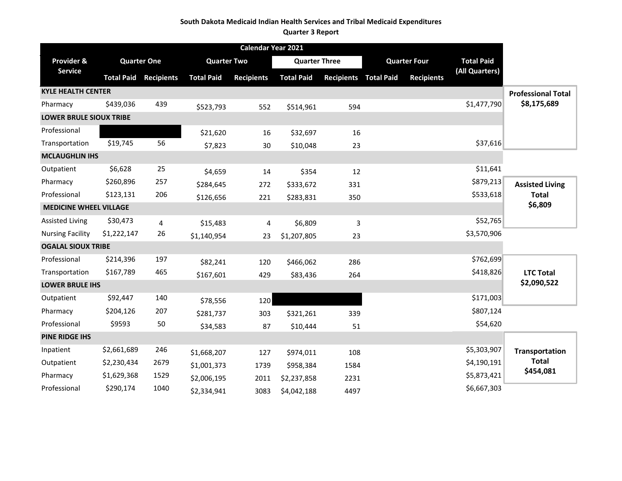#### **South Dakota Medicaid Indian Health Services and Tribal Medicaid Expenditures**

#### **Quarter 3 Report**

| Calendar Year 2021             |             |                              |                    |                   |                      |                              |  |                     |                   |                           |
|--------------------------------|-------------|------------------------------|--------------------|-------------------|----------------------|------------------------------|--|---------------------|-------------------|---------------------------|
| Provider &                     |             | <b>Quarter One</b>           | <b>Quarter Two</b> |                   | <b>Quarter Three</b> |                              |  | <b>Quarter Four</b> | <b>Total Paid</b> |                           |
| Service                        |             | <b>Total Paid Recipients</b> | <b>Total Paid</b>  | <b>Recipients</b> | <b>Total Paid</b>    | <b>Recipients Total Paid</b> |  | <b>Recipients</b>   | (All Quarters)    |                           |
| <b>KYLE HEALTH CENTER</b>      |             |                              |                    |                   |                      |                              |  |                     |                   | <b>Professional Total</b> |
| Pharmacy                       | \$439,036   | 439                          | \$523,793          | 552               | \$514,961            | 594                          |  |                     | \$1,477,790       | \$8,175,689               |
| <b>LOWER BRULE SIOUX TRIBE</b> |             |                              |                    |                   |                      |                              |  |                     |                   |                           |
| Professional                   |             |                              | \$21,620           | 16                | \$32,697             | 16                           |  |                     |                   |                           |
| Transportation                 | \$19,745    | 56                           | \$7,823            | 30                | \$10,048             | 23                           |  |                     | \$37,616          |                           |
| <b>MCLAUGHLIN IHS</b>          |             |                              |                    |                   |                      |                              |  |                     |                   |                           |
| Outpatient                     | \$6,628     | 25                           | \$4,659            | 14                | \$354                | 12                           |  |                     | \$11,641          |                           |
| Pharmacy                       | \$260,896   | 257                          | \$284,645          | 272               | \$333,672            | 331                          |  |                     | \$879,213         | <b>Assisted Living</b>    |
| Professional                   | \$123,131   | 206                          | \$126,656          | 221               | \$283,831            | 350                          |  |                     | \$533,618         | <b>Total</b>              |
| <b>MEDICINE WHEEL VILLAGE</b>  |             |                              |                    |                   |                      |                              |  |                     |                   | \$6,809                   |
| <b>Assisted Living</b>         | \$30,473    | 4                            | \$15,483           | 4                 | \$6,809              | 3                            |  |                     | \$52,765          |                           |
| <b>Nursing Facility</b>        | \$1,222,147 | 26                           | \$1,140,954        | 23                | \$1,207,805          | 23                           |  |                     | \$3,570,906       |                           |
| <b>OGALAL SIOUX TRIBE</b>      |             |                              |                    |                   |                      |                              |  |                     |                   |                           |
| Professional                   | \$214,396   | 197                          | \$82,241           | 120               | \$466,062            | 286                          |  |                     | \$762,699         |                           |
| Transportation                 | \$167,789   | 465                          | \$167,601          | 429               | \$83,436             | 264                          |  |                     | \$418,826         | <b>LTC Total</b>          |
| <b>LOWER BRULE IHS</b>         |             |                              |                    |                   |                      |                              |  |                     |                   | \$2,090,522               |
| Outpatient                     | \$92,447    | 140                          | \$78,556           | 120               |                      |                              |  |                     | \$171,003         |                           |
| Pharmacy                       | \$204,126   | 207                          | \$281,737          | 303               | \$321,261            | 339                          |  |                     | \$807,124         |                           |
| Professional                   | \$9593      | 50                           | \$34,583           | 87                | \$10,444             | 51                           |  |                     | \$54,620          |                           |
| <b>PINE RIDGE IHS</b>          |             |                              |                    |                   |                      |                              |  |                     |                   |                           |
| Inpatient                      | \$2,661,689 | 246                          | \$1,668,207        | 127               | \$974,011            | 108                          |  |                     | \$5,303,907       | <b>Transportation</b>     |
| Outpatient                     | \$2,230,434 | 2679                         | \$1,001,373        | 1739              | \$958,384            | 1584                         |  |                     | \$4,190,191       | <b>Total</b>              |
| Pharmacy                       | \$1,629,368 | 1529                         | \$2,006,195        | 2011              | \$2,237,858          | 2231                         |  |                     | \$5,873,421       | \$454,081                 |
| Professional                   | \$290,174   | 1040                         | \$2,334,941        | 3083              | \$4,042,188          | 4497                         |  |                     | \$6,667,303       |                           |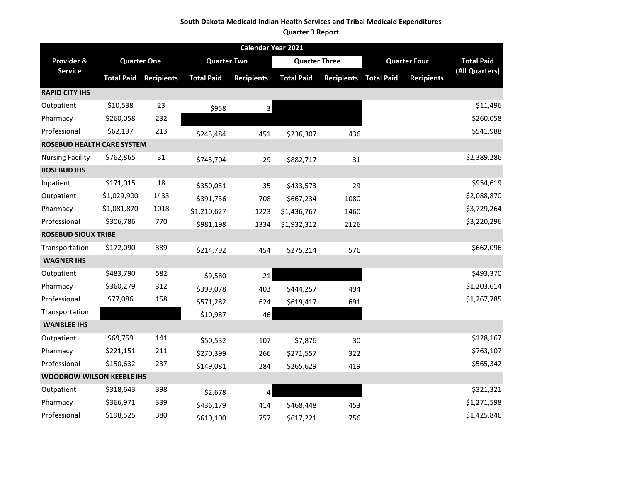#### **South Dakota Medicaid Indian Health Services and Tribal Medicaid Expenditures**

#### **Quarter 3 Report**

|                                  | Calendar Year 2021 |                    |                    |                   |                      |                   |                   |                     |                   |
|----------------------------------|--------------------|--------------------|--------------------|-------------------|----------------------|-------------------|-------------------|---------------------|-------------------|
| Provider &                       |                    | <b>Quarter One</b> | <b>Quarter Two</b> |                   | <b>Quarter Three</b> |                   |                   | <b>Quarter Four</b> | <b>Total Paid</b> |
| <b>Service</b>                   | <b>Total Paid</b>  | <b>Recipients</b>  | <b>Total Paid</b>  | <b>Recipients</b> | <b>Total Paid</b>    | <b>Recipients</b> | <b>Total Paid</b> | <b>Recipients</b>   | (All Quarters)    |
| <b>RAPID CITY IHS</b>            |                    |                    |                    |                   |                      |                   |                   |                     |                   |
| Outpatient                       | \$10,538           | 23                 | \$958              | $\overline{3}$    |                      |                   |                   |                     | \$11,496          |
| Pharmacy                         | \$260,058          | 232                |                    |                   |                      |                   |                   |                     | \$260,058         |
| Professional                     | \$62,197           | 213                | \$243,484          | 451               | \$236,307            | 436               |                   |                     | \$541,988         |
| ROSEBUD HEALTH CARE SYSTEM       |                    |                    |                    |                   |                      |                   |                   |                     |                   |
| <b>Nursing Facility</b>          | \$762,865          | 31                 | \$743,704          | 29                | \$882,717            | 31                |                   |                     | \$2,389,286       |
| <b>ROSEBUD IHS</b>               |                    |                    |                    |                   |                      |                   |                   |                     |                   |
| Inpatient                        | \$171,015          | 18                 | \$350,031          | 35                | \$433,573            | 29                |                   |                     | \$954,619         |
| Outpatient                       | \$1,029,900        | 1433               | \$391,736          | 708               | \$667,234            | 1080              |                   |                     | \$2,088,870       |
| Pharmacy                         | \$1,081,870        | 1018               | \$1,210,627        | 1223              | \$1,436,767          | 1460              |                   |                     | \$3,729,264       |
| Professional                     | \$306,786          | 770                | \$981,198          | 1334              | \$1,932,312          | 2126              |                   |                     | \$3,220,296       |
| <b>ROSEBUD SIOUX TRIBE</b>       |                    |                    |                    |                   |                      |                   |                   |                     |                   |
| Transportation                   | \$172,090          | 389                | \$214,792          | 454               | \$275,214            | 576               |                   |                     | \$662,096         |
| <b>WAGNER IHS</b>                |                    |                    |                    |                   |                      |                   |                   |                     |                   |
| Outpatient                       | \$483,790          | 582                | \$9,580            | 21                |                      |                   |                   |                     | \$493,370         |
| Pharmacy                         | \$360,279          | 312                | \$399,078          | 403               | \$444,257            | 494               |                   |                     | \$1,203,614       |
| Professional                     | \$77,086           | 158                | \$571,282          | 624               | \$619,417            | 691               |                   |                     | \$1,267,785       |
| Transportation                   |                    |                    | \$10,987           | 46                |                      |                   |                   |                     |                   |
| <b>WANBLEE IHS</b>               |                    |                    |                    |                   |                      |                   |                   |                     |                   |
| Outpatient                       | \$69,759           | 141                | \$50,532           | 107               | \$7,876              | 30                |                   |                     | \$128,167         |
| Pharmacy                         | \$221,151          | 211                | \$270,399          | 266               | \$271,557            | 322               |                   |                     | \$763,107         |
| Professional                     | \$150,632          | 237                | \$149,081          | 284               | \$265,629            | 419               |                   |                     | \$565,342         |
| <b>WOODROW WILSON KEEBLE IHS</b> |                    |                    |                    |                   |                      |                   |                   |                     |                   |
| Outpatient                       | \$318,643          | 398                | \$2,678            | 4                 |                      |                   |                   |                     | \$321,321         |
| Pharmacy                         | \$366,971          | 339                | \$436,179          | 414               | \$468,448            | 453               |                   |                     | \$1,271,598       |
| Professional                     | \$198,525          | 380                | \$610,100          | 757               | \$617,221            | 756               |                   |                     | \$1,425,846       |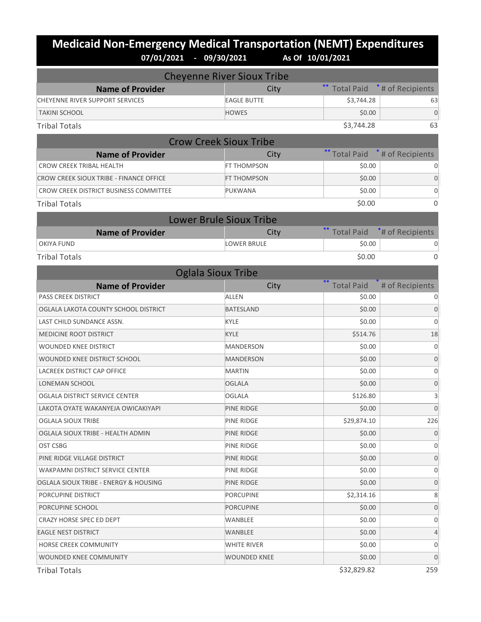## **Medicaid Non-Emergency Medical Transportation (NEMT) Expenditures 07/01/2021 - 09/30/2021 As Of 10/01/2021**

|                                         | <b>Cheyenne River Sioux Tribe</b> |                   |                              |
|-----------------------------------------|-----------------------------------|-------------------|------------------------------|
| <b>Name of Provider</b>                 | City                              | <b>Total Paid</b> | <sup>*</sup> # of Recipients |
| <b>CHEYENNE RIVER SUPPORT SERVICES</b>  | <b>EAGLE BUTTE</b>                | \$3,744.28        | 63                           |
| <b>TAKINI SCHOOL</b>                    | <b>HOWES</b>                      | \$0.00            | $\mathbf 0$                  |
| <b>Tribal Totals</b>                    |                                   | \$3,744.28        | 63                           |
|                                         | <b>Crow Creek Sioux Tribe</b>     |                   |                              |
| <b>Name of Provider</b>                 | City                              | ** Total Paid     | * # of Recipients            |
| <b>CROW CREEK TRIBAL HEALTH</b>         | FT THOMPSON                       | \$0.00            |                              |
| CROW CREEK SIOUX TRIBE - FINANCE OFFICE | FT THOMPSON                       | \$0.00            | $\mathbf 0$                  |
| CROW CREEK DISTRICT BUSINESS COMMITTEE  | PUKWANA                           | \$0.00            | 0                            |
| <b>Tribal Totals</b>                    |                                   | \$0.00            | $\Omega$                     |
|                                         | <b>Lower Brule Sioux Tribe</b>    |                   |                              |
| <b>Name of Provider</b>                 | City                              | <b>Total Paid</b> | *# of Recipients             |
| <b>OKIYA FUND</b>                       | <b>LOWER BRULE</b>                | \$0.00            | 0                            |
| <b>Tribal Totals</b>                    |                                   | \$0.00            | $\Omega$                     |
|                                         | <b>Oglala Sioux Tribe</b>         |                   |                              |
| <b>Name of Provider</b>                 | City                              | <b>Total Paid</b> | # of Recipients              |
| <b>PASS CREEK DISTRICT</b>              | <b>ALLEN</b>                      | \$0.00            |                              |
| OGLALA LAKOTA COUNTY SCHOOL DISTRICT    | <b>BATESLAND</b>                  | \$0.00            | $\mathbf 0$                  |
| LAST CHILD SUNDANCE ASSN.               | KYLE                              | \$0.00            | 0                            |
| MEDICINE ROOT DISTRICT                  | <b>KYLE</b>                       | \$514.76          | 18                           |
| <b>WOUNDED KNEE DISTRICT</b>            | <b>MANDERSON</b>                  | \$0.00            | 0                            |
| WOUNDED KNEE DISTRICT SCHOOL            | <b>MANDERSON</b>                  | \$0.00            | $\mathbf 0$                  |
| <b>LACREEK DISTRICT CAP OFFICE</b>      | <b>MARTIN</b>                     | \$0.00            | 0                            |
| LONEMAN SCHOOL                          | OGLALA                            | \$0.00            | 0                            |
| OGLALA DISTRICT SERVICE CENTER          | <b>OGLALA</b>                     | \$126.80          | 3                            |
| LAKOTA OYATE WAKANYEJA OWICAKIYAPI      | PINE RIDGE                        | \$0.00            | $\overline{0}$               |
| OGLALA SIOUX TRIBE                      | PINE RIDGE                        | \$29,874.10       | 226                          |
| OGLALA SIOUX TRIBE - HEALTH ADMIN       | PINE RIDGE                        | \$0.00            | $\mathbf 0$                  |
| OST CSBG                                | PINE RIDGE                        | \$0.00            | 0                            |
| PINE RIDGE VILLAGE DISTRICT             | PINE RIDGE                        | \$0.00            | $\mathbf 0$                  |
| <b>WAKPAMNI DISTRICT SERVICE CENTER</b> | PINE RIDGE                        | \$0.00            | 0                            |
| OGLALA SIOUX TRIBE - ENERGY & HOUSING   | PINE RIDGE                        | \$0.00            | 0                            |
| PORCUPINE DISTRICT                      | <b>PORCUPINE</b>                  | \$2,314.16        | 8                            |
| PORCUPINE SCHOOL                        | <b>PORCUPINE</b>                  | \$0.00            | 0                            |
| CRAZY HORSE SPEC ED DEPT                | WANBLEE                           | \$0.00            | 0                            |
| <b>EAGLE NEST DISTRICT</b>              | WANBLEE                           | \$0.00            | 4                            |
| HORSE CREEK COMMUNITY                   | WHITE RIVER                       | \$0.00            | 0                            |
| WOUNDED KNEE COMMUNITY                  | <b>WOUNDED KNEE</b>               | \$0.00            | $\mathbf 0$                  |
| <b>Tribal Totals</b>                    |                                   | \$32,829.82       | 259                          |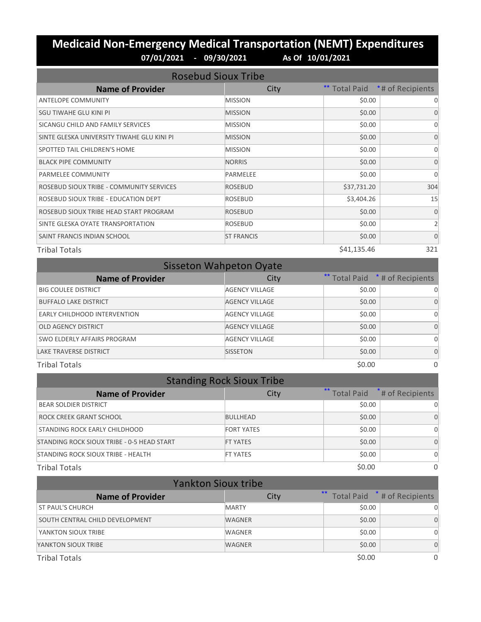### **Medicaid Non-Emergency Medical Transportation (NEMT) Expenditures 07/01/2021 - 09/30/2021 As Of 10/01/2021**

| <b>Rosebud Sioux Tribe</b>                 |                   |             |                                |  |  |
|--------------------------------------------|-------------------|-------------|--------------------------------|--|--|
| <b>Name of Provider</b>                    | City              |             | ** Total Paid *# of Recipients |  |  |
| <b>ANTELOPE COMMUNITY</b>                  | <b>MISSION</b>    | \$0.00      | 0                              |  |  |
| SGU TIWAHE GLU KINI PI                     | <b>MISSION</b>    | \$0.00      | $\Omega$                       |  |  |
| SICANGU CHILD AND FAMILY SERVICES          | <b>MISSION</b>    | \$0.00      | $\Omega$                       |  |  |
| SINTE GLESKA UNIVERSITY TIWAHE GLU KINI PI | <b>MISSION</b>    | \$0.00      | $\Omega$                       |  |  |
| SPOTTED TAIL CHILDREN'S HOME               | <b>MISSION</b>    | \$0.00      | $\Omega$                       |  |  |
| <b>BLACK PIPE COMMUNITY</b>                | <b>NORRIS</b>     | \$0.00      | $\Omega$                       |  |  |
| PARMELEE COMMUNITY                         | PARMELEE          | \$0.00      | $\Omega$                       |  |  |
| ROSEBUD SIOUX TRIBE - COMMUNITY SERVICES   | <b>ROSEBUD</b>    | \$37,731.20 | 304                            |  |  |
| ROSEBUD SIOUX TRIBE - EDUCATION DEPT       | <b>ROSEBUD</b>    | \$3,404.26  | 15                             |  |  |
| ROSEBUD SIOUX TRIBE HEAD START PROGRAM     | <b>ROSEBUD</b>    | \$0.00      | $\Omega$                       |  |  |
| SINTE GLESKA OYATE TRANSPORTATION          | <b>ROSEBUD</b>    | \$0.00      | 2                              |  |  |
| SAINT FRANCIS INDIAN SCHOOL                | <b>ST FRANCIS</b> | \$0.00      | $\Omega$                       |  |  |
| <b>Tribal Totals</b>                       |                   | \$41,135.46 | 321                            |  |  |

| <b>Sisseton Wahpeton Oyate</b> |                       |        |                                 |  |  |  |
|--------------------------------|-----------------------|--------|---------------------------------|--|--|--|
| <b>Name of Provider</b>        | City                  |        | ** Total Paid * # of Recipients |  |  |  |
| <b>BIG COULEE DISTRICT</b>     | <b>AGENCY VILLAGE</b> | \$0.00 |                                 |  |  |  |
| <b>BUFFALO LAKE DISTRICT</b>   | <b>AGENCY VILLAGE</b> | \$0.00 | $\Omega$                        |  |  |  |
| EARLY CHILDHOOD INTERVENTION   | <b>AGENCY VILLAGE</b> | \$0.00 | 0                               |  |  |  |
| <b>OLD AGENCY DISTRICT</b>     | <b>AGENCY VILLAGE</b> | \$0.00 | $\Omega$                        |  |  |  |
| SWO ELDERLY AFFAIRS PROGRAM    | <b>AGENCY VILLAGE</b> | \$0.00 |                                 |  |  |  |
| <b>LAKE TRAVERSE DISTRICT</b>  | <b>SISSETON</b>       | \$0.00 | $\Omega$                        |  |  |  |
| <b>Tribal Totals</b>           |                       | \$0.00 | 0                               |  |  |  |

| <b>Standing Rock Sioux Tribe</b>           |                   |        |                                |  |  |  |
|--------------------------------------------|-------------------|--------|--------------------------------|--|--|--|
| <b>Name of Provider</b>                    | City              |        | ** Total Paid *# of Recipients |  |  |  |
| <b>BEAR SOLDIER DISTRICT</b>               |                   | \$0.00 | U                              |  |  |  |
| ROCK CREEK GRANT SCHOOL                    | <b>BULLHEAD</b>   | \$0.00 | <sup>0</sup>                   |  |  |  |
| STANDING ROCK EARLY CHILDHOOD              | <b>FORT YATES</b> | \$0.00 | O                              |  |  |  |
| STANDING ROCK SIOUX TRIBE - 0-5 HEAD START | <b>FT YATES</b>   | \$0.00 | $\Omega$                       |  |  |  |
| STANDING ROCK SIOUX TRIBE - HEALTH         | <b>FT YATES</b>   | \$0.00 | $\Omega$                       |  |  |  |
| <b>Tribal Totals</b>                       |                   | \$0.00 | $\Omega$                       |  |  |  |

| <b>Yankton Sioux tribe</b>      |               |        |                                 |  |  |
|---------------------------------|---------------|--------|---------------------------------|--|--|
| <b>Name of Provider</b>         | City          |        | ** Total Paid * # of Recipients |  |  |
| ST PAUL'S CHURCH                | <b>MARTY</b>  | \$0.00 | O                               |  |  |
| SOUTH CENTRAL CHILD DEVELOPMENT | <b>WAGNER</b> | \$0.00 | 0                               |  |  |
| YANKTON SIOUX TRIBE             | WAGNER        | \$0.00 | Ω                               |  |  |
| YANKTON SIOUX TRIBE             | <b>WAGNER</b> | \$0.00 | O                               |  |  |
| <b>Tribal Totals</b>            |               | \$0.00 | 0                               |  |  |